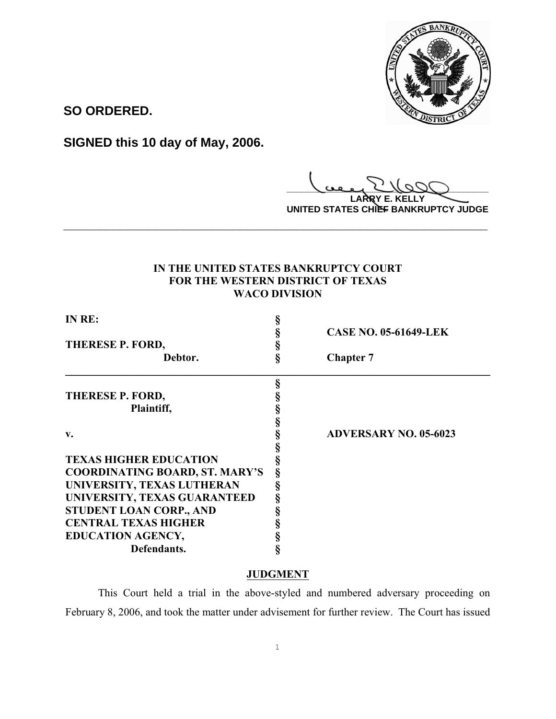

**SO ORDERED.**

**SIGNED this 10 day of May, 2006.**

**\_\_\_\_\_\_\_\_\_\_\_\_\_\_\_\_\_\_\_\_\_\_\_\_\_\_\_\_\_\_\_\_\_\_\_\_\_\_\_\_**

**LARRY E. KELLY UNITED STATES CHIEF BANKRUPTCY JUDGE**

## **IN THE UNITED STATES BANKRUPTCY COURT FOR THE WESTERN DISTRICT OF TEXAS WACO DIVISION**

**\_\_\_\_\_\_\_\_\_\_\_\_\_\_\_\_\_\_\_\_\_\_\_\_\_\_\_\_\_\_\_\_\_\_\_\_\_\_\_\_\_\_\_\_\_\_\_\_\_\_\_\_\_\_\_\_\_\_\_\_**

| IN RE:                                |   |                              |
|---------------------------------------|---|------------------------------|
|                                       |   | <b>CASE NO. 05-61649-LEK</b> |
| THERESE P. FORD,                      |   |                              |
| Debtor.                               |   | <b>Chapter 7</b>             |
|                                       |   |                              |
| THERESE P. FORD,                      |   |                              |
| Plaintiff,                            |   |                              |
|                                       |   |                              |
| v.                                    |   | <b>ADVERSARY NO. 05-6023</b> |
|                                       |   |                              |
| <b>TEXAS HIGHER EDUCATION</b>         |   |                              |
| <b>COORDINATING BOARD, ST. MARY'S</b> | ş |                              |
| UNIVERSITY, TEXAS LUTHERAN            |   |                              |
| UNIVERSITY, TEXAS GUARANTEED          |   |                              |
| STUDENT LOAN CORP., AND               |   |                              |
| <b>CENTRAL TEXAS HIGHER</b>           |   |                              |
| <b>EDUCATION AGENCY,</b>              |   |                              |
| Defendants.                           |   |                              |

## **JUDGMENT**

This Court held a trial in the above-styled and numbered adversary proceeding on February 8, 2006, and took the matter under advisement for further review. The Court has issued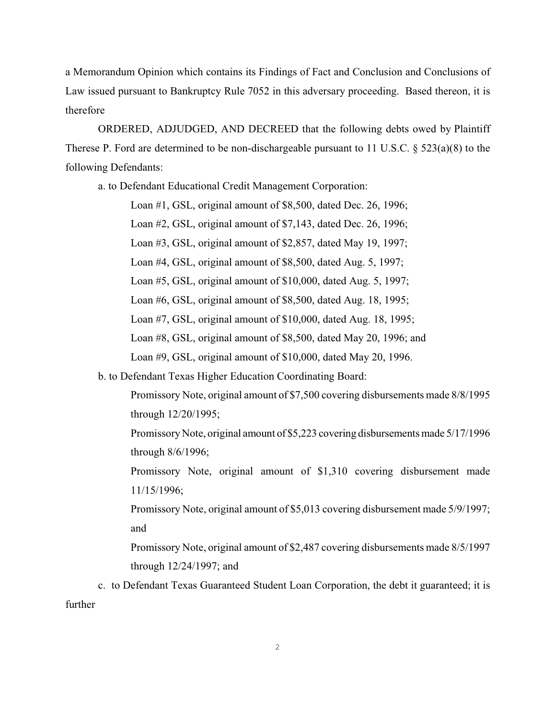a Memorandum Opinion which contains its Findings of Fact and Conclusion and Conclusions of Law issued pursuant to Bankruptcy Rule 7052 in this adversary proceeding. Based thereon, it is therefore

ORDERED, ADJUDGED, AND DECREED that the following debts owed by Plaintiff Therese P. Ford are determined to be non-dischargeable pursuant to 11 U.S.C. § 523(a)(8) to the following Defendants:

a. to Defendant Educational Credit Management Corporation:

Loan #1, GSL, original amount of \$8,500, dated Dec. 26, 1996;

Loan #2, GSL, original amount of \$7,143, dated Dec. 26, 1996;

Loan #3, GSL, original amount of \$2,857, dated May 19, 1997;

Loan #4, GSL, original amount of \$8,500, dated Aug. 5, 1997;

Loan #5, GSL, original amount of \$10,000, dated Aug. 5, 1997;

Loan #6, GSL, original amount of \$8,500, dated Aug. 18, 1995;

Loan #7, GSL, original amount of \$10,000, dated Aug. 18, 1995;

Loan #8, GSL, original amount of \$8,500, dated May 20, 1996; and

Loan #9, GSL, original amount of \$10,000, dated May 20, 1996.

b. to Defendant Texas Higher Education Coordinating Board:

Promissory Note, original amount of \$7,500 covering disbursements made 8/8/1995 through 12/20/1995;

Promissory Note, original amount of \$5,223 covering disbursements made 5/17/1996 through 8/6/1996;

Promissory Note, original amount of \$1,310 covering disbursement made 11/15/1996;

Promissory Note, original amount of \$5,013 covering disbursement made 5/9/1997; and

Promissory Note, original amount of \$2,487 covering disbursements made 8/5/1997 through 12/24/1997; and

c. to Defendant Texas Guaranteed Student Loan Corporation, the debt it guaranteed; it is further